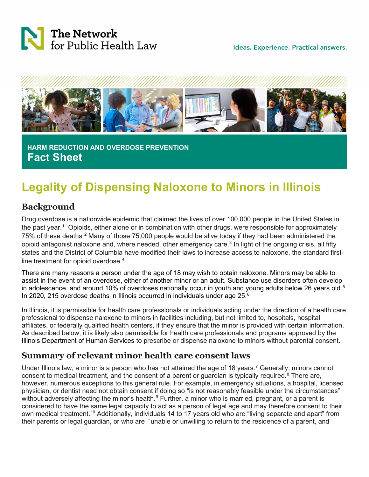

Ideas. Experience. Practical answers.



 **HARM REDUCTION AND OVERDOSE PREVENTION Fact Sheet**

# **Legality of Dispensing Naloxone to Minors in Illinois**

## **Background**

Drug overdose is a nationwide epidemic that claimed the lives of over 100,000 people in the United States in the past year. [1](#page-3-0) Opioids, either alone or in combination with other drugs, were responsible for approximately 75% of these deaths.<sup>[2](#page-3-1)</sup> Many of those 75,000 people would be alive today if they had been administered the opioid antagonist naloxone and, where needed, other emergency care.<sup>[3](#page-3-2)</sup> In light of the ongoing crisis, all fifty states and the District of Columbia have modified their laws to increase access to naloxone, the standard first-line treatment for opioid overdose.<sup>[4](#page-3-3)</sup>

There are many reasons a person under the age of 18 may wish to obtain naloxone. Minors may be able to assist in the event of an overdose, either of another minor or an adult. Substance use disorders often develop in adolescence, and around 10% of overdoses nationally occur in youth and young adults below 26 years old.<sup>[5](#page-3-4)</sup> In 2020, 215 overdose deaths in Illinois occurred in individuals under age  $25<sup>6</sup>$  $25<sup>6</sup>$  $25<sup>6</sup>$ 

In Illinois, it is permissible for health care professionals or individuals acting under the direction of a health care professional to dispense naloxone to minors in facilities including, but not limited to, hospitals, hospital affiliates, or federally qualified health centers, if they ensure that the minor is provided with certain information. As described below, it is likely also permissible for health care professionals and programs approved by the Illinois Department of Human Services to prescribe or dispense naloxone to minors without parental consent.

## **Summary of relevant minor health care consent laws**

Under Illinois law, a minor is a person who has not attained the age of 18 years.<sup>[7](#page-3-6)</sup> Generally, minors cannot consent to medical treatment, and the consent of a parent or guardian is typically required.<sup>[8](#page-3-7)</sup> There are, however, numerous exceptions to this general rule. For example, in emergency situations, a hospital, licensed physician, or dentist need not obtain consent if doing so "is not reasonably feasible under the circumstances" without adversely affecting the minor's health.<sup>[9](#page-4-0)</sup> Further, a minor who is married, pregnant, or a parent is considered to have the same legal capacity to act as a person of legal age and may therefore consent to their own medical treatment.<sup>[10](#page-4-1)</sup> Additionally, individuals 14 to 17 years old who are "living separate and apart" from their parents or legal guardian, or who are "unable or unwilling to return to the residence of a parent, and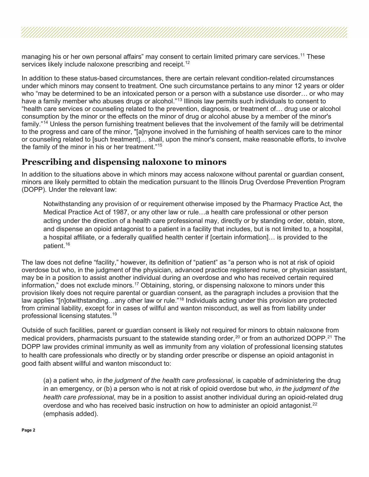managing his or her own personal affairs" may consent to certain limited primary care services.<sup>[11](#page-4-2)</sup> These services likely include naloxone prescribing and receipt. [12](#page-4-3)

In addition to these status-based circumstances, there are certain relevant condition-related circumstances under which minors may consent to treatment. One such circumstance pertains to any minor 12 years or older who "may be determined to be an intoxicated person or a person with a substance use disorder… or who may have a family member who abuses drugs or alcohol."<sup>[13](#page-4-4)</sup> Illinois law permits such individuals to consent to "health care services or counseling related to the prevention, diagnosis, or treatment of… drug use or alcohol consumption by the minor or the effects on the minor of drug or alcohol abuse by a member of the minor's family."[14](#page-4-5) Unless the person furnishing treatment believes that the involvement of the family will be detrimental to the progress and care of the minor, "[a]nyone involved in the furnishing of health services care to the minor or counseling related to [such treatment]… shall, upon the minor's consent, make reasonable efforts, to involve the family of the minor in his or her treatment."[15](#page-4-6)

### **Prescribing and dispensing naloxone to minors**

In addition to the situations above in which minors may access naloxone without parental or guardian consent, minors are likely permitted to obtain the medication pursuant to the Illinois Drug Overdose Prevention Program (DOPP). Under the relevant law:

Notwithstanding any provision of or requirement otherwise imposed by the Pharmacy Practice Act, the Medical Practice Act of 1987, or any other law or rule…a health care professional or other person acting under the direction of a health care professional may, directly or by standing order, obtain, store, and dispense an opioid antagonist to a patient in a facility that includes, but is not limited to, a hospital, a hospital affiliate, or a federally qualified health center if [certain information]… is provided to the patient.[16](#page-4-7)

The law does not define "facility," however, its definition of "patient" as "a person who is not at risk of opioid overdose but who, in the judgment of the physician, advanced practice registered nurse, or physician assistant, may be in a position to assist another individual during an overdose and who has received certain required information," does not exclude minors.<sup>[17](#page-4-8)</sup> Obtaining, storing, or dispensing naloxone to minors under this provision likely does not require parental or guardian consent, as the paragraph includes a provision that the law applies "[n]otwithstanding…any other law or rule."[18](#page-4-9) Individuals acting under this provision are protected from criminal liability, except for in cases of willful and wanton misconduct, as well as from liability under professional licensing statutes.[19](#page-4-10)

Outside of such facilities, parent or guardian consent is likely not required for minors to obtain naloxone from medical providers, pharmacists pursuant to the statewide standing order, $^{20}$  $^{20}$  $^{20}$  or from an authorized DOPP. $^{21}$  $^{21}$  $^{21}$  The DOPP law provides criminal immunity as well as immunity from any violation of professional licensing statutes to health care professionals who directly or by standing order prescribe or dispense an opioid antagonist in good faith absent willful and wanton misconduct to:

(a) a patient who, *in the judgment of the health care professional*, is capable of administering the drug in an emergency, or (b) a person who is not at risk of opioid overdose but who, *in the judgment of the health care professional*, may be in a position to assist another individual during an opioid-related drug overdose and who has received basic instruction on how to administer an opioid antagonist. $22$ (emphasis added).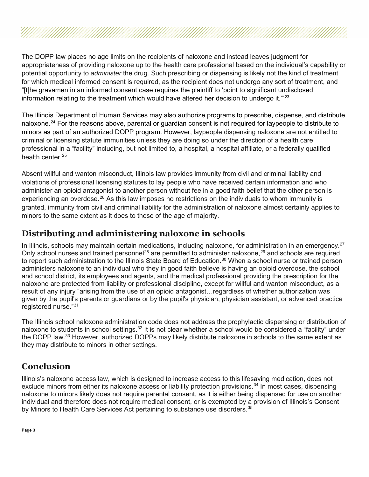The DOPP law places no age limits on the recipients of naloxone and instead leaves judgment for appropriateness of providing naloxone up to the health care professional based on the individual's capability or potential opportunity to *administer* the drug. Such prescribing or dispensing is likely not the kind of treatment for which medical informed consent is required, as the recipient does not undergo any sort of treatment, and "[t]he gravamen in an informed consent case requires the plaintiff to 'point to significant undisclosed information relating to the treatment which would have altered her decision to undergo it. $\mathrm{''23}$  $\mathrm{''23}$  $\mathrm{''23}$ 

The Illinois Department of Human Services may also authorize programs to prescribe, dispense, and distribute naloxone.<sup>[24](#page-4-15)</sup> For the reasons above, parental or guardian consent is not required for laypeople to distribute to minors as part of an authorized DOPP program. However, laypeople dispensing naloxone are not entitled to criminal or licensing statute immunities unless they are doing so under the direction of a health care professional in a "facility" including, but not limited to, a hospital, a hospital affiliate, or a federally qualified health center. [25](#page-4-16)

Absent willful and wanton misconduct, Illinois law provides immunity from civil and criminal liability and violations of professional licensing statutes to lay people who have received certain information and who administer an opioid antagonist to another person without fee in a good faith belief that the other person is experiencing an overdose.<sup>[26](#page-4-17)</sup> As this law imposes no restrictions on the individuals to whom immunity is granted, immunity from civil and criminal liability for the administration of naloxone almost certainly applies to minors to the same extent as it does to those of the age of majority.

# **Distributing and administering naloxone in schools**

In Illinois, schools may maintain certain medications, including naloxone, for administration in an emergency.<sup>[27](#page-4-18)</sup> Only school nurses and trained personnel<sup>[28](#page-4-19)</sup> are permitted to administer naloxone,<sup>[29](#page-5-0)</sup> and schools are required to report such administration to the Illinois State Board of Education.<sup>[30](#page-5-1)</sup> When a school nurse or trained person administers naloxone to an individual who they in good faith believe is having an opioid overdose, the school and school district, its employees and agents, and the medical professional providing the prescription for the naloxone are protected from liability or professional discipline, except for willful and wanton misconduct, as a result of any injury "arising from the use of an opioid antagonist…regardless of whether authorization was given by the pupil's parents or guardians or by the pupil's physician, physician assistant, or advanced practice registered nurse."<sup>[31](#page-5-2)</sup>

The Illinois school naloxone administration code does not address the prophylactic dispensing or distribution of naloxone to students in school settings.<sup>32</sup> It is not clear whether a school would be considered a "facility" under the DOPP law.[33](#page-5-4) However, authorized DOPPs may likely distribute naloxone in schools to the same extent as they may distribute to minors in other settings.

# **Conclusion**

Illinois's naloxone access law, which is designed to increase access to this lifesaving medication, does not exclude minors from either its naloxone access or liability protection provisions.<sup>[34](#page-5-5)</sup> In most cases, dispensing naloxone to minors likely does not require parental consent, as it is either being dispensed for use on another individual and therefore does not require medical consent, or is exempted by a provision of Illinois's Consent by Minors to Health Care Services Act pertaining to substance use disorders.<sup>[35](#page-5-6)</sup>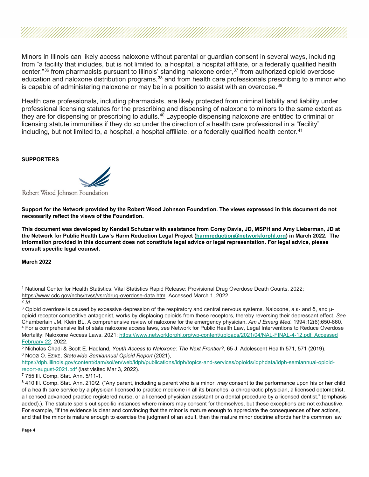Minors in Illinois can likely access naloxone without parental or guardian consent in several ways, including from "a facility that includes, but is not limited to, a hospital, a hospital affiliate, or a federally qualified health center,"<sup>[36](#page-5-7)</sup> from pharmacists pursuant to Illinois' standing naloxone order,<sup>[37](#page-5-8)</sup> from authorized opioid overdose education and naloxone distribution programs,<sup>[38](#page-5-9)</sup> and from health care professionals prescribing to a minor who is capable of administering naloxone or may be in a position to assist with an overdose. $^{\rm 39}$  $^{\rm 39}$  $^{\rm 39}$ 

Health care professionals, including pharmacists, are likely protected from criminal liability and liability under professional licensing statutes for the prescribing and dispensing of naloxone to minors to the same extent as they are for dispensing or prescribing to adults.<sup>[40](#page-5-11)</sup> Laypeople dispensing naloxone are entitled to criminal or licensing statute immunities if they do so under the direction of a health care professional in a "facility" including, but not limited to, a hospital, a hospital affiliate, or a federally qualified health center. [41](#page-5-12)

#### **SUPPORTERS**

Robert Wood Johnson Foundation

**Support for the Network provided by the Robert Wood Johnson Foundation. The views expressed in this document do not necessarily reflect the views of the Foundation.**

**This document was developed by Kendall Schutzer with assistance from Corey Davis, JD, MSPH and Amy Lieberman, JD at the Network for Public Health Law's Harm Reduction Legal Project [\(harmreduction@networkforphl.org\)](mailto:harmreduction@networkforphl.org) in March 2022. The information provided in this document does not constitute legal advice or legal representation. For legal advice, please consult specific legal counsel.**

**March 2022**

<span id="page-3-0"></span>

| <sup>1</sup> National Center for Health Statistics. Vital Statistics Rapid Release: Provisional Drug Overdose Death Counts. 2022; |  |
|-----------------------------------------------------------------------------------------------------------------------------------|--|
| https://www.cdc.gov/nchs/nvss/vsrr/drug-overdose-data.htm. Accessed March 1, 2022.                                                |  |

#### <span id="page-3-1"></span><sup>2</sup> *Id.*

<span id="page-3-3"></span><span id="page-3-2"></span> $3$  Opioid overdose is caused by excessive depression of the respiratory and central nervous systems. Naloxone, a κ- and δ, and  $\mu$ opioid receptor competitive antagonist, works by displacing opioids from these receptors, thereby reversing their depressant effect. *See*  Chamberlain JM, Klein BL. A comprehensive review of naloxone for the emergency physician. *Am J Emerg Med.* 1994;12(6):650-660. <sup>4</sup> For a comprehensive list of state naloxone access laws, *see* Network for Public Health Law, Legal Interventions to Reduce Overdose Mortality: Naloxone Access Laws. 2021; [https://www.networkforphl.org/wp-content/uploads/2021/04/NAL-FINAL-4-12.pdf](https://www.networkforphl.org/wp-content/uploads/2021/04/NAL-FINAL-4-12.pdf.%20Accessed%20February%2022)*.* Accessed [February 22,](https://www.networkforphl.org/wp-content/uploads/2021/04/NAL-FINAL-4-12.pdf.%20Accessed%20February%2022) 2022.

<span id="page-3-4"></span>5 Nicholas Chadi & Scott E. Hadland, *Youth Access to Naloxone: The Next Frontier*?, 65 J. Adolescent Health 571, 571 (2019). 6 Noozi O. Ezike, *Statewide Semiannual Opioid Report* (2021).

<span id="page-3-5"></span>[https://dph.illinois.gov/content/dam/soi/en/web/idph/publications/idph/topics-and-services/opioids/idphdata/idph-semiannual-opioid](https://dph.illinois.gov/content/dam/soi/en/web/idph/publications/idph/topics-and-services/opioids/idphdata/idph-semiannual-opioid-report-august-2021.pdf)[report-august-2021.pdf](https://dph.illinois.gov/content/dam/soi/en/web/idph/publications/idph/topics-and-services/opioids/idphdata/idph-semiannual-opioid-report-august-2021.pdf) (last visited Mar 3, 2022).

<span id="page-3-6"></span><sup>7</sup> 755 Ill. Comp. Stat. Ann. 5/11-1.

<span id="page-3-7"></span><sup>8</sup> 410 Ill. Comp. Stat. Ann. 210/2. ("Any parent, including a parent who is a minor, *may* consent to the performance upon his or her child of a health care service by a physician licensed to practice medicine in all its branches, a chiropractic physician, a licensed optometrist, a licensed advanced practice registered nurse, or a licensed physician assistant or a dental procedure by a licensed dentist." (emphasis added).). The statute spells out specific instances where minors may consent for themselves, but these exceptions are not exhaustive. For example, "if the evidence is clear and convincing that the minor is mature enough to appreciate the consequences of her actions, and that the minor is mature enough to exercise the judgment of an adult, then the mature minor doctrine affords her the common law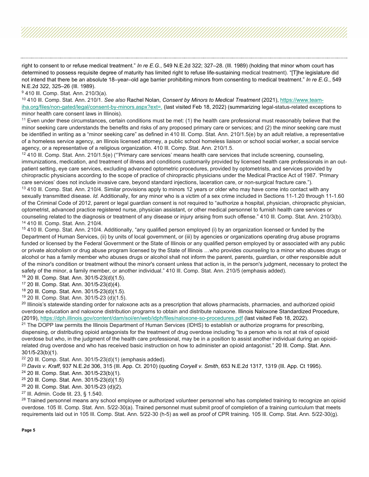right to consent to or refuse medical treatment." *In re E.G.*, 549 N.E.2d 322; 327–28. (Ill. 1989) (holding that minor whom court has determined to possess requisite degree of maturity has limited right to refuse life-sustaining medical treatment). "[T]he legislature did not intend that there be an absolute 18–year–old age barrier prohibiting minors from consenting to medical treatment." *In re E.G.*, 549 N.E.2d 322, 325–26 (Ill. 1989).

<span id="page-4-0"></span><sup>9</sup> 410 III. Comp. Stat. Ann. 210/3(a).

<span id="page-4-1"></span><sup>10</sup> 410 Ill. Comp. Stat. Ann. 210/1. *See also* Rachel Nolan, *Consent by Minors to Medical Treatment* (2021), [https://www.team](https://www.team-iha.org/files/non-gated/legal/consent-by-minors.aspx?ext=.)[iha.org/files/non-gated/legal/consent-by-minors.aspx?ext=.](https://www.team-iha.org/files/non-gated/legal/consent-by-minors.aspx?ext=.) (last visited Feb 18, 2022) (summarizing legal-status-related exceptions to minor health care consent laws in Illinois).

<span id="page-4-2"></span> $11$  Even under these circumstances, certain conditions must be met: (1) the health care professional must reasonably believe that the minor seeking care understands the benefits and risks of any proposed primary care or services; and (2) the minor seeking care must be identified in writing as a "minor seeking care" as defined in 410 Ill. Comp. Stat. Ann. 210/1.5(e) by an adult relative, a representative of a homeless service agency, an Illinois licensed attorney, a public school homeless liaison or school social worker, a social service agency, or a representative of a religious organization. 410 Ill. Comp. Stat. Ann. 210/1.5.

<span id="page-4-4"></span><span id="page-4-3"></span> $12$  410 III. Comp. Stat. Ann. 210/1.5(e) ("Primary care services' means health care services that include screening, counseling, immunizations, medication, and treatment of illness and conditions customarily provided by licensed health care professionals in an outpatient setting, eye care services, excluding advanced optometric procedures, provided by optometrists, and services provided by chiropractic physicians according to the scope of practice of chiropractic physicians under the Medical Practice Act of 1987. 'Primary care services' does not include invasive care, beyond standard injections, laceration care, or non-surgical fracture care."). <sup>13</sup> 410 III. Comp. Stat. Ann. 210/4. Similar provisions apply to minors 12 years or older who may have come into contact with any sexually transmitted disease. *Id.* Additionally, for any minor who is a victim of a sex crime included in Sections 11-1.20 through 11-1.60 of the Criminal Code of 2012, parent or legal guardian consent is not required to "authorize a hospital, physician, chiropractic physician, optometrist, advanced practice registered nurse, physician assistant, or other medical personnel to furnish health care services or counseling related to the diagnosis or treatment of any disease or injury arising from such offense." 410 Ill. Comp. Stat. Ann. 210/3(b). <sup>14</sup> 410 Ill. Comp. Stat. Ann. 210/4.

<span id="page-4-6"></span><span id="page-4-5"></span><sup>15</sup> 410 III. Comp. Stat. Ann. 210/4. Additionally, "any qualified person employed (i) by an organization licensed or funded by the Department of Human Services, (ii) by units of local government, or (iii) by agencies or organizations operating drug abuse programs funded or licensed by the Federal Government or the State of Illinois or any qualified person employed by or associated with any public or private alcoholism or drug abuse program licensed by the State of Illinois …who provides *counseling* to a minor who abuses drugs or alcohol or has a family member who abuses drugs or alcohol shall not inform the parent, parents, guardian, or other responsible adult of the minor's condition or treatment without the minor's consent unless that action is, in the person's judgment, necessary to protect the safety of the minor, a family member, or another individual." 410 III. Comp. Stat. Ann. 210/5 (emphasis added).

<span id="page-4-7"></span><sup>16</sup> 20 Ill. Comp. Stat. Ann. 301/5-23(d)(1.5).

<span id="page-4-8"></span><sup>17</sup> 20 Ill. Comp. Stat. Ann. 301/5-23(d)(4).

<span id="page-4-9"></span><sup>18</sup> 20 Ill. Comp. Stat. Ann. 301/5-23(d)(1.5).

<span id="page-4-10"></span><sup>19</sup> 20 Ill. Comp. Stat. Ann. 301/5-23 (d)(1.5).

<span id="page-4-11"></span><sup>20</sup> Illinois's statewide standing order for naloxone acts as a prescription that allows pharmacists, pharmacies, and authorized opioid overdose education and naloxone distribution programs to obtain and distribute naloxone. Illinois Naloxone Standardized Procedure, (2019),<https://dph.illinois.gov/content/dam/soi/en/web/idph/files/naloxone-so-procedures.pdf> (last visited Feb 18, 2022).

<span id="page-4-12"></span><sup>21</sup> The DOPP law permits the Illinois Department of Human Services (IDHS) to establish or authorize programs for prescribing, dispensing, or distributing opioid antagonists for the treatment of drug overdose including "to a person who is not at risk of opioid overdose but who, in the judgment of the health care professional, may be in a position to assist another individual during an opioidrelated drug overdose and who has received basic instruction on how to administer an opioid antagonist." 20 Ill. Comp. Stat. Ann. 301/5-23(b)(1).

<span id="page-4-13"></span><sup>22</sup> 20 Ill. Comp. Stat. Ann. 301/5-23(d)(1) (emphasis added).

<span id="page-4-14"></span><sup>23</sup> *Davis v. Kraff*, 937 N.E.2d 306, 315 (Ill. App. Ct. 2010) (quoting *Coryell v. Smith*, 653 N.E.2d 1317, 1319 (Ill. App. Ct 1995).

<span id="page-4-15"></span><sup>24</sup> 20 Ill. Comp. Stat. Ann. 301/5-23(b)(1).

<span id="page-4-16"></span><sup>25</sup> 20 Ill. Comp. Stat. Ann. 301/5-23(d)(1.5)

<span id="page-4-17"></span><sup>26</sup> 20 Ill. Comp. Stat. Ann. 301/5-23 (d)(2).

<span id="page-4-18"></span><sup>27</sup> Ill. Admin. Code tit. 23, § 1.540.

<span id="page-4-19"></span><sup>28</sup> Trained personnel means any school employee or authorized volunteer personnel who has completed training to recognize an opioid overdose. 105 Ill. Comp. Stat. Ann. 5/22-30(a). Trained personnel must submit proof of completion of a training curriculum that meets requirements laid out in 105 Ill. Comp. Stat. Ann. 5/22-30 (h-5) as well as proof of CPR training. 105 Ill. Comp. Stat. Ann. 5/22-30(g).